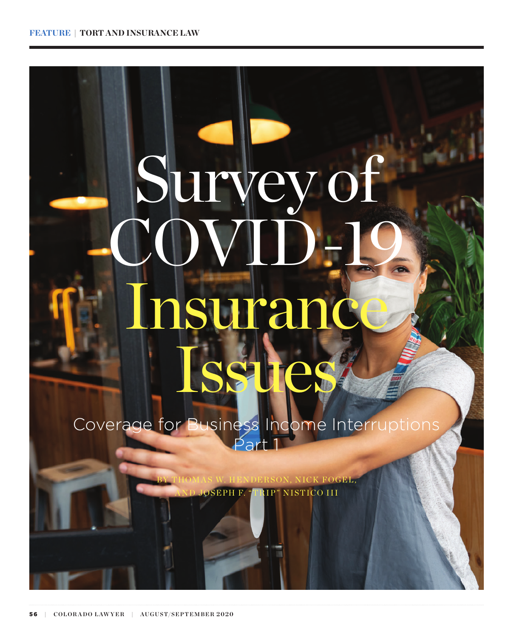# Survey COVID-19 **Sura** Issues

Coverage for Business Income Interruptions Part<sup>1</sup>

> K FOGEL, **OSEPH F. "TRIP" NISTICO III**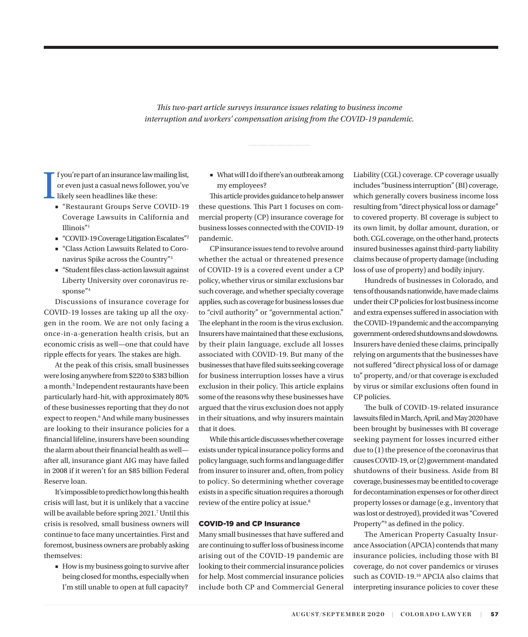*This two-part article surveys insurance issues relating to business income interruption and workers' compensation arising from the COVID-19 pandemic.*

<span id="page-1-0"></span>I f you're part of an insurance law mailing list, or even just a casual news follower, you've likely seen headlines like these:

- "Restaurant Groups Serve COVID-19 Coverage Lawsuits in California and Illinois"[1](#page-7-0)
- "COVID-19 Coverage Litigation Escalates"<sup>2</sup>
- "Class Action Lawsuits Related to Coronavirus Spike across the Country["3](#page-7-0)
- "Student files class-action lawsuit against Liberty University over coronavirus response["4](#page-7-0)

Discussions of insurance coverage for COVID-19 losses are taking up all the oxygen in the room. We are not only facing a once-in-a-generation health crisis, but an economic crisis as well—one that could have ripple effects for years. The stakes are high.

At the peak of this crisis, small businesses were losing anywhere from \$220 to \$383 billion a month.<sup>5</sup> Independent restaurants have been particularly hard-hit, with approximately 80% of these businesses reporting that they do not expect to reopen.<sup>[6](#page-7-0)</sup> And while many businesses are looking to their insurance policies for a financial lifeline, insurers have been sounding the alarm about their financial health as well after all, insurance giant AIG may have failed in 2008 if it weren't for an \$85 billion Federal Reserve loan.

It's impossible to predict how long this health crisis will last, but it is unlikely that a vaccine will be available before spring 2021.<sup>[7](#page-7-0)</sup> Until this crisis is resolved, small business owners will continue to face many uncertainties. First and foremost, business owners are probably asking themselves:

■ How is my business going to survive after being closed for months, especially when I'm still unable to open at full capacity?

■ What will I do if there's an outbreak among my employees?

This article provides guidance to help answer these questions. This Part 1 focuses on commercial property (CP) insurance coverage for business losses connected with the COVID-19 pandemic.

CP insurance issues tend to revolve around whether the actual or threatened presence of COVID-19 is a covered event under a CP policy, whether virus or similar exclusions bar such coverage, and whether specialty coverage applies, such as coverage for business losses due to "civil authority" or "governmental action." The elephant in the room is the virus exclusion. Insurers have maintained that these exclusions, by their plain language, exclude all losses associated with COVID-19. But many of the businesses that have filed suits seeking coverage for business interruption losses have a virus exclusion in their policy. This article explains some of the reasons why these businesses have argued that the virus exclusion does not apply in their situations, and why insurers maintain that it does.

While this article discusses whether coverage exists under typical insurance policy forms and policy language, such forms and language differ from insurer to insurer and, often, from policy to policy. So determining whether coverage exists in a specific situation requires a thorough review of the entire policy at issue.<sup>[8](#page-7-0)</sup>

### COVID-19 and CP Insurance

Many small businesses that have suffered and are continuing to suffer loss of business income arising out of the COVID-19 pandemic are looking to their commercial insurance policies for help. Most commercial insurance policies include both CP and Commercial General Liability (CGL) coverage. CP coverage usually includes "business interruption" (BI) coverage, which generally covers business income loss resulting from "direct physical loss or damage" to covered property. BI coverage is subject to its own limit, by dollar amount, duration, or both. CGL coverage, on the other hand, protects insured businesses against third-party liability claims because of property damage (including loss of use of property) and bodily injury.

Hundreds of businesses in Colorado, and tens of thousands nationwide, have made claims under their CP policies for lost business income and extra expenses suffered in association with the COVID-19 pandemic and the accompanying government-ordered shutdowns and slowdowns. Insurers have denied these claims, principally relying on arguments that the businesses have not suffered "direct physical loss of or damage to" property, and/or that coverage is excluded by virus or similar exclusions often found in CP policies.

The bulk of COVID-19-related insurance lawsuits filed in March, April, and May 2020 have been brought by businesses with BI coverage seeking payment for losses incurred either due to (1) the presence of the coronavirus that causes COVID-19, or (2) government-mandated shutdowns of their business. Aside from BI coverage, businesses may be entitled to coverage for decontamination expenses or for other direct property losses or damage (e.g., inventory that was lost or destroyed), provided it was "Covered Property"<sup>9</sup> as defined in the policy.

The American Property Casualty Insurance Association (APCIA) contends that many insurance policies, including those with BI coverage, do not cover pandemics or viruses such as COVID-19.<sup>10</sup> APCIA also claims that interpreting insurance policies to cover these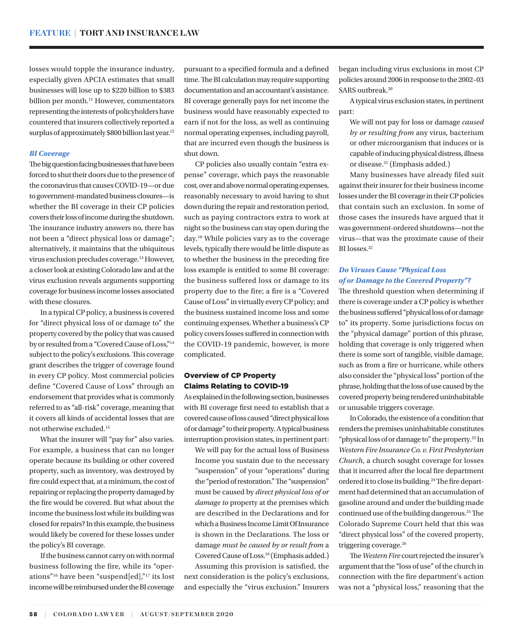<span id="page-2-0"></span>losses would topple the insurance industry, especially given APCIA estimates that small businesses will lose up to \$220 billion to \$383 billion per month.<sup>[11](#page-7-0)</sup> However, commentators representing the interests of policyholders have countered that insurers collectively reported a surplus of approximately \$800 billion last year.<sup>[12](#page-7-0)</sup>

### *BI Coverage*

The big question facing businesses that have been forced to shut their doors due to the presence of the coronavirus that causes COVID-19—or due to government-mandated business closures—is whether the BI coverage in their CP policies covers their loss of income during the shutdown. The insurance industry answers no, there has not been a "direct physical loss or damage"; alternatively, it maintains that the ubiquitous virus exclusion precludes coverage.[13](#page-7-0) However, a closer look at existing Colorado law and at the virus exclusion reveals arguments supporting coverage for business income losses associated with these closures.

In a typical CP policy, a business is covered for "direct physical loss of or damage to" the property covered by the policy that was caused by or resulted from a "Covered Cause of Loss,"[14](#page-7-0) subject to the policy's exclusions. This coverage grant describes the trigger of coverage found in every CP policy. Most commercial policies define "Covered Cause of Loss" through an endorsement that provides what is commonly referred to as "all-risk" coverage, meaning that it covers all kinds of accidental losses that are not otherwise excluded[.15](#page-7-0)

What the insurer will "pay for" also varies. For example, a business that can no longer operate because its building or other covered property, such as inventory, was destroyed by fire could expect that, at a minimum, the cost of repairing or replacing the property damaged by the fire would be covered. But what about the income the business lost while its building was closed for repairs? In this example, the business would likely be covered for these losses under the policy's BI coverage.

If the business cannot carry on with normal business following the fire, while its "operations["16](#page-7-0) have been "suspend[ed],"[17](#page-7-0) its lost income will be reimbursed under the BI coverage

pursuant to a specified formula and a defined time. The BI calculation may require supporting documentation and an accountant's assistance. BI coverage generally pays for net income the business would have reasonably expected to earn if not for the loss, as well as continuing normal operating expenses, including payroll, that are incurred even though the business is shut down.

CP policies also usually contain "extra expense" coverage, which pays the reasonable cost, over and above normal operating expenses, reasonably necessary to avoid having to shut down during the repair and restoration period, such as paying contractors extra to work at night so the business can stay open during the day.[18](#page-7-0) While policies vary as to the coverage levels, typically there would be little dispute as to whether the business in the preceding fire loss example is entitled to some BI coverage: the business suffered loss or damage to its property due to the fire; a fire is a "Covered Cause of Loss" in virtually every CP policy; and the business sustained income loss and some continuing expenses. Whether a business's CP policy covers losses suffered in connection with the COVID-19 pandemic, however, is more complicated.

# Overview of CP Property Claims Relating to COVID-19

As explained in the following section, businesses with BI coverage first need to establish that a covered cause of loss caused "direct physical loss of or damage" to their property. A typical business interruption provision states, in pertinent part:

We will pay for the actual loss of Business Income you sustain due to the necessary "suspension" of your "operations" during the "period of restoration." The "suspension" must be caused by *direct physical loss of or damage to* property at the premises which are described in the Declarations and for which a Business Income Limit Of Insurance is shown in the Declarations. The loss or damage *must be caused by or result from* a Covered Cause of Loss.[19](#page-8-0) (Emphasis added.)

Assuming this provision is satisfied, the next consideration is the policy's exclusions, and especially the "virus exclusion." Insurers began including virus exclusions in most CP policies around 2006 in response to the 2002–03 SARS outbreak.<sup>[20](#page-8-0)</sup>

A typical virus exclusion states, in pertinent part:

We will not pay for loss or damage *caused by or resulting from* any virus, bacterium or other microorganism that induces or is capable of inducing physical distress, illness or disease[.21](#page-8-0) (Emphasis added.)

Many businesses have already filed suit against their insurer for their business income losses under the BI coverage in their CP policies that contain such an exclusion. In some of those cases the insureds have argued that it was government-ordered shutdowns—not the virus—that was the proximate cause of their BI losses.<sup>22</sup>

# *Do Viruses Cause "Physical Loss of or Damage to the Covered Property"?*

The threshold question when determining if there is coverage under a CP policy is whether the business suffered "physical loss of or damage to" its property. Some jurisdictions focus on the "physical damage" portion of this phrase, holding that coverage is only triggered when there is some sort of tangible, visible damage, such as from a fire or hurricane, while others also consider the "physical loss" portion of the phrase, holding that the loss of use caused by the covered property being rendered uninhabitable or unusable triggers coverage.

In Colorado, the existence of a condition that renders the premises uninhabitable constitutes "physical loss of or damage to" the property.<sup>23</sup> In *Western Fire Insurance Co. v. First Presbyterian Church*, a church sought coverage for losses that it incurred after the local fire department ordered it to close its building.<sup>24</sup> The fire department had determined that an accumulation of gasoline around and under the building made continued use of the building dangerous.[25](#page-8-0) The Colorado Supreme Court held that this was "direct physical loss" of the covered property, triggering coverage.<sup>[26](#page-8-0)</sup>

The *Western Fire* court rejected the insurer's argument that the "loss of use" of the church in connection with the fire department's action was not a "physical loss," reasoning that the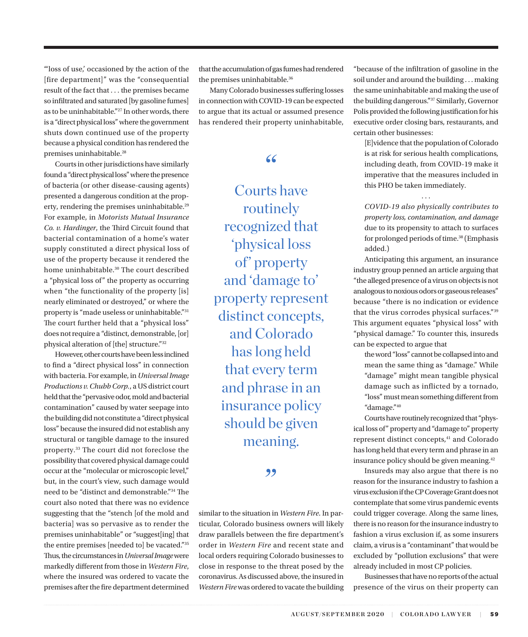<span id="page-3-0"></span>"'loss of use,' occasioned by the action of the [fire department]" was the "consequential result of the fact that . . . the premises became so infiltrated and saturated [by gasoline fumes] as to be uninhabitable."[27](#page-8-0) In other words, there is a "direct physical loss" where the government shuts down continued use of the property because a physical condition has rendered the premises uninhabitable.<sup>[28](#page-8-0)</sup>

Courts in other jurisdictions have similarly found a "direct physical loss" where the presence of bacteria (or other disease-causing agents) presented a dangerous condition at the prop-erty, rendering the premises uninhabitable.<sup>[29](#page-8-0)</sup> For example, in *Motorists Mutual Insurance Co. v. Hardinger*, the Third Circuit found that bacterial contamination of a home's water supply constituted a direct physical loss of use of the property because it rendered the home uninhabitable.<sup>[30](#page-8-0)</sup> The court described a "physical loss of" the property as occurring when "the functionality of the property [is] nearly eliminated or destroyed," or where the property is "made useless or uninhabitable."[31](#page-8-0) The court further held that a "physical loss" does not require a "distinct, demonstrable, [or] physical alteration of [the] structure."[32](#page-8-0)

However, other courts have been less inclined to find a "direct physical loss" in connection with bacteria. For example, in *Universal Image Productions v. Chubb Corp.*, a US district court held that the "pervasive odor, mold and bacterial contamination" caused by water seepage into the building did not constitute a "direct physical loss" because the insured did not establish any structural or tangible damage to the insured property.[33](#page-8-0) The court did not foreclose the possibility that covered physical damage could occur at the "molecular or microscopic level," but, in the court's view, such damage would need to be "distinct and demonstrable."[34](#page-8-0) The court also noted that there was no evidence suggesting that the "stench [of the mold and bacteria] was so pervasive as to render the premises uninhabitable" or "suggest[ing] that the entire premises [needed to] be vacated."[35](#page-8-0) Thus, the circumstances in *Universal Image* were markedly different from those in *Western Fire*, where the insured was ordered to vacate the premises after the fire department determined that the accumulation of gas fumes had rendered the premises uninhabitable.<sup>36</sup>

Many Colorado businesses suffering losses in connection with COVID-19 can be expected to argue that its actual or assumed presence has rendered their property uninhabitable,

# "

Courts have routinely recognized that 'physical loss of' property and 'damage to' property represent distinct concepts, and Colorado has long held that every term and phrase in an insurance policy should be given meaning.

# "

similar to the situation in *Western Fire*. In particular, Colorado business owners will likely draw parallels between the fire department's order in *Western Fire* and recent state and local orders requiring Colorado businesses to close in response to the threat posed by the coronavirus. As discussed above, the insured in *Western Fire* was ordered to vacate the building "because of the infiltration of gasoline in the soil under and around the building . . . making the same uninhabitable and making the use of the building dangerous."[37](#page-8-0) Similarly, Governor Polis provided the following justification for his executive order closing bars, restaurants, and certain other businesses:

[E]vidence that the population of Colorado is at risk for serious health complications, including death, from COVID-19 make it imperative that the measures included in this PHO be taken immediately.

. . .

*COVID-19 also physically contributes to property loss, contamination, and damage* due to its propensity to attach to surfaces for prolonged periods of time[.38](#page-8-0) (Emphasis added.)

Anticipating this argument, an insurance industry group penned an article arguing that "the alleged presence of a virus on objects is not analogous to noxious odors or gaseous releases" because "there is no indication or evidence that the virus corrodes physical surfaces.["39](#page-8-0) This argument equates "physical loss" with "physical damage." To counter this, insureds can be expected to argue that

the word "loss" cannot be collapsed into and mean the same thing as "damage." While "damage" might mean tangible physical damage such as inflicted by a tornado, "loss" must mean something different from "damage."[40](#page-8-0)

Courts have routinely recognized that "physical loss of" property and "damage to" property represent distinct concepts,<sup>[41](#page-8-0)</sup> and Colorado has long held that every term and phrase in an insurance policy should be given meaning.<sup>42</sup>

Insureds may also argue that there is no reason for the insurance industry to fashion a virus exclusion if the CP Coverage Grant does not contemplate that some virus pandemic events could trigger coverage. Along the same lines, there is no reason for the insurance industry to fashion a virus exclusion if, as some insurers claim, a virus is a "contaminant" that would be excluded by "pollution exclusions" that were already included in most CP policies.

Businesses that have no reports of the actual presence of the virus on their property can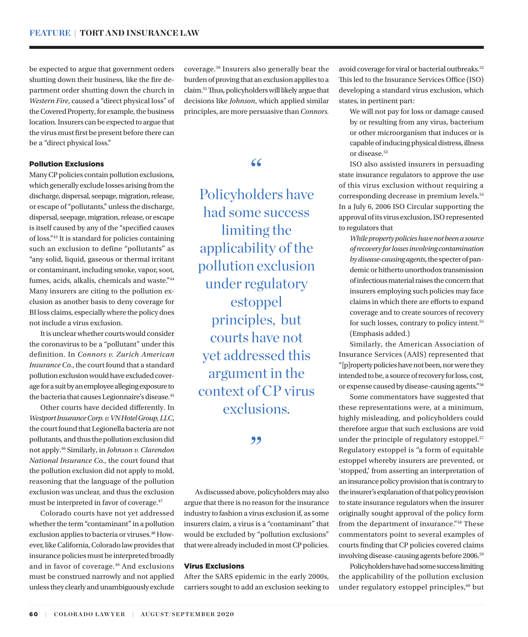<span id="page-4-0"></span>be expected to argue that government orders shutting down their business, like the fire department order shutting down the church in *Western Fire*, caused a "direct physical loss" of the Covered Property, for example, the business location. Insurers can be expected to argue that the virus must first be present before there can be a "direct physical loss."

coverage.[50](#page-8-0) Insurers also generally bear the burden of proving that an exclusion applies to a claim[.51](#page-8-0) Thus, policyholders will likely argue that decisions like *Johnson*, which applied similar principles, are more persuasive than *Connors.* 

# Pollution Exclusions

Many CP policies contain pollution exclusions, which generally exclude losses arising from the discharge, dispersal, seepage, migration, release, or escape of "pollutants," unless the discharge, dispersal, seepage, migration, release, or escape is itself caused by any of the "specified causes of loss.["43](#page-8-0) It is standard for policies containing such an exclusion to define "pollutants" as "any solid, liquid, gaseous or thermal irritant or contaminant, including smoke, vapor, soot, fumes, acids, alkalis, chemicals and waste."[44](#page-8-0) Many insurers are citing to the pollution exclusion as another basis to deny coverage for BI loss claims, especially where the policy does not include a virus exclusion.

It is unclear whether courts would consider the coronavirus to be a "pollutant" under this definition. In *Connors v. Zurich American Insurance Co.*, the court found that a standard pollution exclusion would have excluded coverage for a suit by an employee alleging exposure to the bacteria that causes Legionnaire's disease.[45](#page-8-0)

Other courts have decided differently. In *Westport Insurance Corp. v. VN Hotel Group, LLC*, the court found that Legionella bacteria are not pollutants, and thus the pollution exclusion did not apply[.46](#page-8-0) Similarly, in *Johnson v. Clarendon National Insurance Co.*, the court found that the pollution exclusion did not apply to mold, reasoning that the language of the pollution exclusion was unclear, and thus the exclusion must be interpreted in favor of coverage.<sup>47</sup>

Colorado courts have not yet addressed whether the term "contaminant" in a pollution exclusion applies to bacteria or viruses.<sup>48</sup> However, like California, Colorado law provides that insurance policies must be interpreted broadly and in favor of coverage.<sup>49</sup> And exclusions must be construed narrowly and not applied unless they clearly and unambiguously exclude

"

Policyholders have had some success limiting the applicability of the pollution exclusion under regulatory estoppel principles, but courts have not yet addressed this argument in the context of CP virus exclusions.

# ,,

As discussed above, policyholders may also argue that there is no reason for the insurance industry to fashion a virus exclusion if, as some insurers claim, a virus is a "contaminant" that would be excluded by "pollution exclusions" that were already included in most CP policies.

## Virus Exclusions

After the SARS epidemic in the early 2000s, carriers sought to add an exclusion seeking to

avoid coverage for viral or bacterial outbreaks.<sup>[52](#page-8-0)</sup> This led to the Insurance Services Office (ISO) developing a standard virus exclusion, which states, in pertinent part:

We will not pay for loss or damage caused by or resulting from any virus, bacterium or other microorganism that induces or is capable of inducing physical distress, illness or disease.<sup>[53](#page-8-0)</sup>

ISO also assisted insurers in persuading state insurance regulators to approve the use of this virus exclusion without requiring a corresponding decrease in premium levels.<sup>[54](#page-8-0)</sup> In a July 6, 2006 ISO Circular supporting the approval of its virus exclusion, ISO represented to regulators that

*While property policies have not been a source of recovery for losses involving contamination by disease-causing agents*, the specter of pandemic or hitherto unorthodox transmission of infectious material raises the concern that insurers employing such policies may face claims in which there are efforts to expand coverage and to create sources of recovery for such losses, contrary to policy intent.<sup>[55](#page-8-0)</sup> (Emphasis added.)

Similarly, the American Association of Insurance Services (AAIS) represented that "[p]roperty policies have not been, nor were they intended to be, a source of recovery for loss, cost, or expense caused by disease-causing agents."[56](#page-8-0)

Some commentators have suggested that these representations were, at a minimum, highly misleading, and policyholders could therefore argue that such exclusions are void under the principle of regulatory estoppel.[57](#page-8-0) Regulatory estoppel is "a form of equitable estoppel whereby insurers are prevented, or 'stopped,' from asserting an interpretation of an insurance policy provision that is contrary to the insurer's explanation of that policy provision to state insurance regulators when the insurer originally sought approval of the policy form from the department of insurance."[58](#page-8-0) These commentators point to several examples of courts finding that CP policies covered claims involving disease-causing agents before 2006.[59](#page-8-0)

Policyholders have had some success limiting the applicability of the pollution exclusion under regulatory estoppel principles,<sup>60</sup> but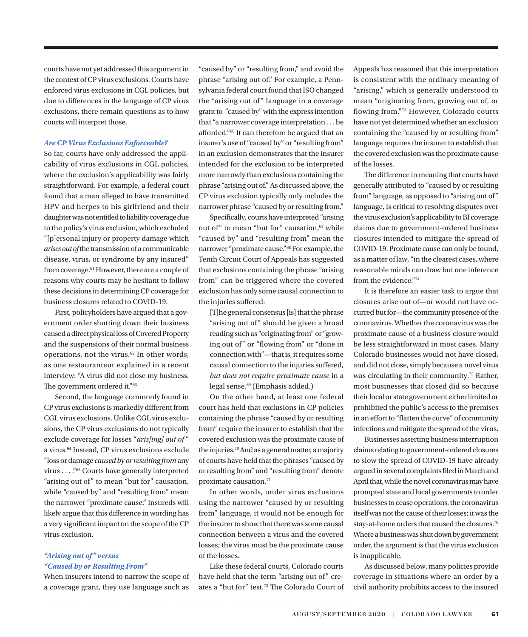<span id="page-5-0"></span>courts have not yet addressed this argument in the context of CP virus exclusions. Courts have enforced virus exclusions in CGL policies, but due to differences in the language of CP virus exclusions, there remain questions as to how courts will interpret those.

### *Are CP Virus Exclusions Enforceable?*

So far, courts have only addressed the applicability of virus exclusions in CGL policies, where the exclusion's applicability was fairly straightforward. For example, a federal court found that a man alleged to have transmitted HPV and herpes to his girlfriend and their daughter was not entitled to liability coverage due to the policy's virus exclusion, which excluded "[p]ersonal injury or property damage which *arises out of* the transmission of a communicable disease, virus, or syndrome by any insured" from coverage.<sup>[61](#page-8-0)</sup> However, there are a couple of reasons why courts may be hesitant to follow these decisions in determining CP coverage for business closures related to COVID-19.

First, policyholders have argued that a government order shutting down their business caused a direct physical loss of Covered Property and the suspensions of their normal business operations, not the virus. $62$  In other words, as one restauranteur explained in a recent interview: "A virus did not close my business. The government ordered it."[63](#page-9-0)

Second, the language commonly found in CP virus exclusions is markedly different from CGL virus exclusions. Unlike CGL virus exclusions, the CP virus exclusions do not typically exclude coverage for losses "*aris[ing] out of* " a virus[.64](#page-9-0) Instead, CP virus exclusions exclude "loss or damage *caused by or resulting from* any virus . . . ."[65](#page-9-0) Courts have generally interpreted "arising out of" to mean "but for" causation, while "caused by" and "resulting from" mean the narrower "proximate cause." Insureds will likely argue that this difference in wording has a very significant impact on the scope of the CP virus exclusion.

# *"Arising out of " versus "Caused by or Resulting From"*

When insurers intend to narrow the scope of a coverage grant, they use language such as "caused by" or "resulting from," and avoid the phrase "arising out of." For example, a Pennsylvania federal court found that ISO changed the "arising out of" language in a coverage grant to "caused by" with the express intention that "a narrower coverage interpretation . . . be afforded."[66](#page-9-0) It can therefore be argued that an insurer's use of "caused by" or "resulting from" in an exclusion demonstrates that the insurer intended for the exclusion to be interpreted more narrowly than exclusions containing the phrase "arising out of." As discussed above, the CP virus exclusion typically only includes the narrower phrase "caused by or resulting from."

Specifically, courts have interpreted "arising out of" to mean "but for" causation,<sup>[67](#page-9-0)</sup> while "caused by" and "resulting from" mean the narrower "proximate cause."[68](#page-9-0) For example, the Tenth Circuit Court of Appeals has suggested that exclusions containing the phrase "arising from" can be triggered where the covered exclusion has only some causal connection to the injuries suffered:

[T]he general consensus [is] that the phrase "arising out of" should be given a broad reading such as "originating from" or "growing out of" or "flowing from" or "done in connection with"—that is, it requires some causal connection to the injuries suffered, *but does not require proximate cause* in a legal sense.[69](#page-9-0) (Emphasis added.)

On the other hand, at least one federal court has held that exclusions in CP policies containing the phrase "caused by or resulting from" require the insurer to establish that the covered exclusion was the proximate cause of the injuries[.70](#page-9-0) And as a general matter, a majority of courts have held that the phrases "caused by or resulting from" and "resulting from" denote proximate causation.<sup>71</sup>

In other words, under virus exclusions using the narrower "caused by or resulting from" language, it would not be enough for the insurer to show that there was some causal connection between a virus and the covered losses; the virus must be the proximate cause of the losses.

Like these federal courts, Colorado courts have held that the term "arising out of" creates a "but for" test.[72](#page-9-0) The Colorado Court of Appeals has reasoned that this interpretation is consistent with the ordinary meaning of "arising," which is generally understood to mean "originating from, growing out of, or flowing from."[73](#page-9-0) However, Colorado courts have not yet determined whether an exclusion containing the "caused by or resulting from" language requires the insurer to establish that the covered exclusion was the proximate cause of the losses.

The difference in meaning that courts have generally attributed to "caused by or resulting from" language, as opposed to "arising out of" language, is critical to resolving disputes over the virus exclusion's applicability to BI coverage claims due to government-ordered business closures intended to mitigate the spread of COVID-19. Proximate cause can only be found, as a matter of law, "in the clearest cases, where reasonable minds can draw but one inference from the evidence."[74](#page-9-0)

It is therefore an easier task to argue that closures arise out of—or would not have occurred but for—the community presence of the coronavirus. Whether the coronavirus was the proximate cause of a business closure would be less straightforward in most cases. Many Colorado businesses would not have closed, and did not close, simply because a novel virus was circulating in their community.[75](#page-9-0) Rather, most businesses that closed did so because their local or state government either limited or prohibited the public's access to the premises in an effort to "flatten the curve" of community infections and mitigate the spread of the virus.

Businesses asserting business interruption claims relating to government-ordered closures to slow the spread of COVID-19 have already argued in several complaints filed in March and April that, while the novel coronavirus may have prompted state and local governments to order businesses to cease operations, the coronavirus itself was not the cause of their losses; it was the stay-at-home orders that caused the closures.<sup>[76](#page-9-0)</sup> Where a business was shut down by government order, the argument is that the virus exclusion is inapplicable.

As discussed below, many policies provide coverage in situations where an order by a civil authority prohibits access to the insured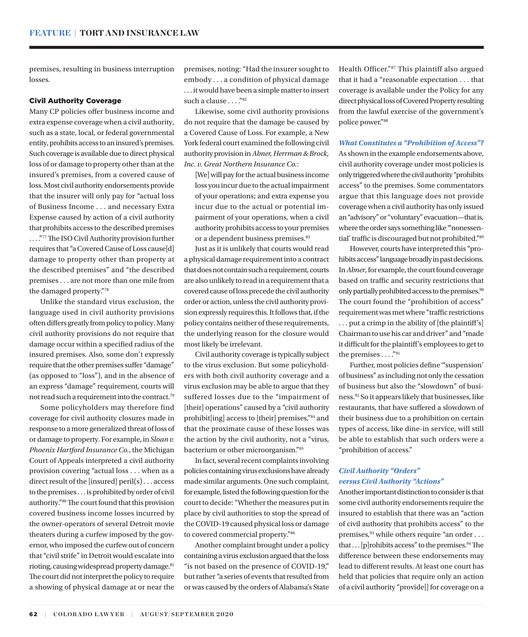<span id="page-6-0"></span>premises, resulting in business interruption losses.

### Civil Authority Coverage

Many CP policies offer business income and extra expense coverage when a civil authority, such as a state, local, or federal governmental entity, prohibits access to an insured's premises. Such coverage is available due to direct physical loss of or damage to property other than at the insured's premises, from a covered cause of loss. Most civil authority endorsements provide that the insurer will only pay for "actual loss of Business Income . . . and necessary Extra Expense caused by action of a civil authority that prohibits access to the described premises . . . .["77](#page-9-0) The ISO Civil Authority provision further requires that "a Covered Cause of Loss cause[d] damage to property other than property at the described premises" and "the described premises . . . are not more than one mile from the damaged property.["78](#page-9-0)

Unlike the standard virus exclusion, the language used in civil authority provisions often differs greatly from policy to policy. Many civil authority provisions do not require that damage occur within a specified radius of the insured premises. Also, some don't expressly require that the other premises suffer "damage" (as opposed to "loss"), and in the absence of an express "damage" requirement, courts will not read such a requirement into the contract.[79](#page-9-0)

Some policyholders may therefore find coverage for civil authority closures made in response to a more generalized threat of loss of or damage to property. For example, in *Sloan v. Phoenix Hartford Insurance Co.*, the Michigan Court of Appeals interpreted a civil authority provision covering "actual loss . . . when as a direct result of the [insured] peril(s) . . . access to the premises . . . is prohibited by order of civil authority.["80](#page-9-0) The court found that this provision covered business income losses incurred by the owner-operators of several Detroit movie theaters during a curfew imposed by the governor, who imposed the curfew out of concern that "civil strife" in Detroit would escalate into rioting, causing widespread property damage.<sup>[81](#page-9-0)</sup> The court did not interpret the policy to require a showing of physical damage at or near the

premises, noting: "Had the insurer sought to embody . . . a condition of physical damage . . . it would have been a simple matter to insert such a clause  $\ldots$ ."<sup>[82](#page-9-0)</sup>

Likewise, some civil authority provisions do not require that the damage be caused by a Covered Cause of Loss. For example, a New York federal court examined the following civil authority provision in *Abner, Herrman & Brock, Inc. v. Great Northern Insurance Co.*:

[We] will pay for the actual business income loss you incur due to the actual impairment of your operations; and extra expense you incur due to the actual or potential impairment of your operations, when a civil authority prohibits access to your premises or a dependent business premises.<sup>83</sup>

Just as it is unlikely that courts would read a physical damage requirement into a contract that does not contain such a requirement, courts are also unlikely to read in a requirement that a covered cause of loss precede the civil authority order or action, unless the civil authority provision expressly requires this. It follows that, if the policy contains neither of these requirements, the underlying reason for the closure would most likely be irrelevant.

Civil authority coverage is typically subject to the virus exclusion. But some policyholders with both civil authority coverage and a virus exclusion may be able to argue that they suffered losses due to the "impairment of [their] operations" caused by a "civil authority" prohibit[ing] access to [their] premises,"[84](#page-9-0) and that the proximate cause of these losses was the action by the civil authority, not a "virus, bacterium or other microorganism.["85](#page-9-0)

In fact, several recent complaints involving policies containing virus exclusions have already made similar arguments. One such complaint, for example, listed the following question for the court to decide: "Whether the measures put in place by civil authorities to stop the spread of the COVID-19 caused physical loss or damage to covered commercial property."[86](#page-9-0)

Another complaint brought under a policy containing a virus exclusion argued that the loss "is not based on the presence of COVID-19," but rather "a series of events that resulted from or was caused by the orders of Alabama's State Health Officer.["87](#page-9-0) This plaintiff also argued that it had a "reasonable expectation . . . that coverage is available under the Policy for any direct physical loss of Covered Property resulting from the lawful exercise of the government's police power.["88](#page-9-0)

# *What Constitutes a "Prohibition of Access"?*

As shown in the example endorsements above, civil authority coverage under most policies is only triggered where the civil authority "prohibits access" to the premises. Some commentators argue that this language does not provide coverage when a civil authority has only issued an "advisory" or "voluntary" evacuation—that is, where the order says something like "nonessential' traffic is discouraged but not prohibited."[89](#page-9-0)

However, courts have interpreted this "prohibits access" language broadly in past decisions. In *Abner*, for example, the court found coverage based on traffic and security restrictions that only partially prohibited access to the premises. $90$ The court found the "prohibition of access" requirement was met where "traffic restrictions . . . put a crimp in the ability of [the plaintiff's] Chairman to use his car and driver" and "made it difficult for the plaintiff's employees to get to the premises  $\dots$ ."<sup>[91](#page-9-0)</sup>

Further, most policies define '"suspension' of business" as including not only the cessation of business but also the "slowdown" of business.[92](#page-9-0) So it appears likely that businesses, like restaurants, that have suffered a slowdown of their business due to a prohibition on certain types of access, like dine-in service, will still be able to establish that such orders were a "prohibition of access."

# *Civil Authority "Orders" versus Civil Authority "Actions"*

Another important distinction to consider is that some civil authority endorsements require the insured to establish that there was an "action of civil authority that prohibits access" to the premises,  $^{93}$  $^{93}$  $^{93}$  while others require "an order  $\ldots$ that  $\ldots$  [p]rohibits access" to the premises.<sup>94</sup> The difference between these endorsements may lead to different results. At least one court has held that policies that require only an action of a civil authority "provide[] for coverage on a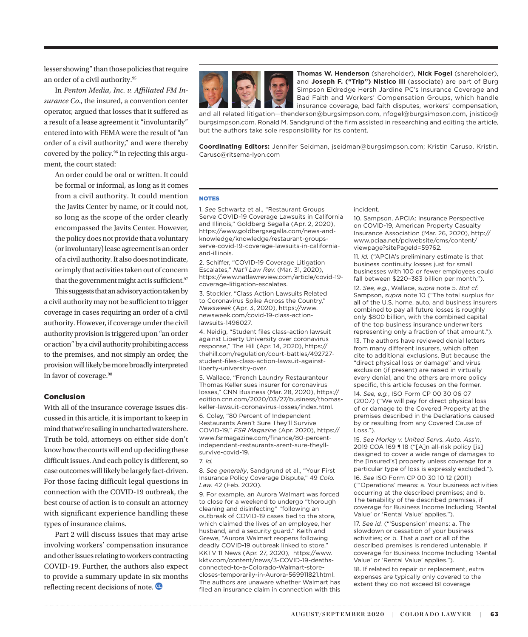<span id="page-7-0"></span>lesser showing" than those policies that require an order of a civil authority[.95](#page-9-0)

In *Penton Media, Inc. v. Affiliated FM Insurance Co*., the insured, a convention center operator, argued that losses that it suffered as a result of a lease agreement it "involuntarily" entered into with FEMA were the result of "an order of a civil authority," and were thereby covered by the policy[.96](#page-9-0) In rejecting this argument, the court stated:

An order could be oral or written. It could be formal or informal, as long as it comes from a civil authority. It could mention the Javits Center by name, or it could not, so long as the scope of the order clearly encompassed the Javits Center. However, the policy does not provide that a voluntary (or involuntary) lease agreement is an order of a civil authority. It also does not indicate, or imply that activities taken out of concern that the government might act is sufficient.<sup>[97](#page-9-0)</sup> This suggests that an advisory action taken by

a civil authority may not be sufficient to trigger coverage in cases requiring an order of a civil authority. However, if coverage under the civil authority provision is triggered upon "an order or action" by a civil authority prohibiting access to the premises, and not simply an order, the provision will likely be more broadly interpreted in favor of coverage.<sup>98</sup>

### Conclusion

With all of the insurance coverage issues discussed in this article, it is important to keep in mind that we're sailing in uncharted waters here. Truth be told, attorneys on either side don't know how the courts will end up deciding these difficult issues. And each policy is different, so case outcomes will likely be largely fact-driven. For those facing difficult legal questions in connection with the COVID-19 outbreak, the best course of action is to consult an attorney with significant experience handling these types of insurance claims.

Part 2 will discuss issues that may arise involving workers' compensation insurance and other issues relating to workers contracting COVID-19. Further, the authors also expect to provide a summary update in six months reflecting recent decisions of note.



**Thomas W. Henderson** (shareholder), **Nick Fogel** (shareholder), and **Joseph F. ("Trip") Nistico III** (associate) are part of Burg Simpson Eldredge Hersh Jardine PC's Insurance Coverage and Bad Faith and Workers' Compensation Groups, which handle insurance coverage, bad faith disputes, workers' compensation,

and all related litigation—thenderson@burgsimpson.com, nfogel@burgsimpson.com, jnistico@ burgsimpson.com. Ronald M. Sandgrund of the firm assisted in researching and editing the article, but the authors take sole responsibility for its content.

**Coordinating Editors:** Jennifer Seidman, [jseidman@burgsimpson.com;](mailto:jseidman@burgsimpson.com) Kristin Caruso, [Kristin.](mailto:Kristin.Caruso@ritsema-lyon.com) [Caruso@ritsema-lyon.com](mailto:Kristin.Caruso@ritsema-lyon.com)

### **NOTES**

1. *See* Schwartz et al., "Restaurant Groups Serve COVID-19 Coverage Lawsuits in California and Illinois," Goldberg Segalla (Apr. 2, 2020), [https://www.goldbergsegalla.com/news-and](https://www.goldbergsegalla.com/news-and-knowledge/knowledge/restaurant-groups-serve-covid-19-coverage-lawsuits-in-california-and-illinois)[knowledge/knowledge/restaurant-groups](https://www.goldbergsegalla.com/news-and-knowledge/knowledge/restaurant-groups-serve-covid-19-coverage-lawsuits-in-california-and-illinois)[serve-covid-19-coverage-lawsuits-in-california](https://www.goldbergsegalla.com/news-and-knowledge/knowledge/restaurant-groups-serve-covid-19-coverage-lawsuits-in-california-and-illinois)[and-illinois.](https://www.goldbergsegalla.com/news-and-knowledge/knowledge/restaurant-groups-serve-covid-19-coverage-lawsuits-in-california-and-illinois)

[2.](#page-1-0) Schiffer, "COVID-19 Coverage Litigation Escalates," *Nat'l Law Rev.* (Mar. 31, 2020), [https://www.natlawreview.com/article/covid-19](https://www.natlawreview.com/article/covid-19-coverage-litigation-escalates) [coverage-litigation-escalates.](https://www.natlawreview.com/article/covid-19-coverage-litigation-escalates)

[3](#page-1-0). Stockler, "Class Action Lawsuits Related to Coronavirus Spike Across the Country," *Newsweek* (Apr. 3, 2020), [https://www.](https://www.newsweek.com/covid-19-class-action-lawsuits-1496027) [newsweek.com/covid-19-class-action](https://www.newsweek.com/covid-19-class-action-lawsuits-1496027)[lawsuits-1496027.](https://www.newsweek.com/covid-19-class-action-lawsuits-1496027)

[4.](#page-1-0) Neidig, "Student files class-action lawsuit against Liberty University over coronavirus response," The Hill (Apr. 14, 2020), [https://](https://thehill.com/regulation/court-battles/492727-student-files-class-action-lawsuit-against-liberty-university-over) [thehill.com/regulation/court-battles/492727](https://thehill.com/regulation/court-battles/492727-student-files-class-action-lawsuit-against-liberty-university-over) [student-files-class-action-lawsuit-against](https://thehill.com/regulation/court-battles/492727-student-files-class-action-lawsuit-against-liberty-university-over)[liberty-university-over.](https://thehill.com/regulation/court-battles/492727-student-files-class-action-lawsuit-against-liberty-university-over)

[5](#page-1-0). Wallace, "French Laundry Restauranteur Thomas Keller sues insurer for coronavirus losses," CNN Business (Mar. 28, 2020), [https://](https://edition.cnn.com/2020/03/27/business/thomas-keller-lawsuit-coronavirus-losses/index.html) [edition.cnn.com/2020/03/27/business/thomas](https://edition.cnn.com/2020/03/27/business/thomas-keller-lawsuit-coronavirus-losses/index.html)[keller-lawsuit-coronavirus-losses/index.html.](https://edition.cnn.com/2020/03/27/business/thomas-keller-lawsuit-coronavirus-losses/index.html)

[6](#page-1-0). Coley, "80 Percent of Independent Restaurants Aren't Sure They'll Survive COVID-19," *FSR Magazine* (Apr. 2020), [https://](https://www.fsrmagazine.com/finance/80-percent-independent-restaurants-arent-sure-theyll-survive-covid-19) [www.fsrmagazine.com/finance/80-percent](https://www.fsrmagazine.com/finance/80-percent-independent-restaurants-arent-sure-theyll-survive-covid-19)[independent-restaurants-arent-sure-theyll](https://www.fsrmagazine.com/finance/80-percent-independent-restaurants-arent-sure-theyll-survive-covid-19)[survive-covid-19](https://www.fsrmagazine.com/finance/80-percent-independent-restaurants-arent-sure-theyll-survive-covid-19).

### [7](#page-1-0). *Id.*

[8](#page-1-0). *See generally*, Sandgrund et al., "Your First Insurance Policy Coverage Dispute," 49 *Colo. Law.* 42 (Feb. 2020).

[9](#page-1-0). For example, an Aurora Walmart was forced to close for a weekend to undergo "thorough cleaning and disinfecting" "following an outbreak of COVID-19 cases tied to the store, which claimed the lives of an employee, her husband, and a security guard." Keith and Grewe, "Aurora Walmart reopens following deadly COVID-19 outbreak linked to store," KKTV 11 News (Apr. 27, 2020), [https://www.](https://www.kktv.com/content/news/3-COVID-19-deaths-connected-to-a-Colorado-Walmart-store-closes-temporarily-in-Aurora-569911821.html) [kktv.com/content/news/3-COVID-19-deaths](https://www.kktv.com/content/news/3-COVID-19-deaths-connected-to-a-Colorado-Walmart-store-closes-temporarily-in-Aurora-569911821.html)[connected-to-a-Colorado-Walmart-store](https://www.kktv.com/content/news/3-COVID-19-deaths-connected-to-a-Colorado-Walmart-store-closes-temporarily-in-Aurora-569911821.html)[closes-temporarily-in-Aurora-569911821.html](https://www.kktv.com/content/news/3-COVID-19-deaths-connected-to-a-Colorado-Walmart-store-closes-temporarily-in-Aurora-569911821.html). The authors are unaware whether Walmart has filed an insurance claim in connection with this

### incident.

[10](#page-1-0). Sampson, APCIA: Insurance Perspective on COVID-19, American Property Casualty Insurance Association (Mar. 26, 2020), [http://](http://www.pciaa.net/pciwebsite/cms/content/viewpage?sitePageId=59762) [www.pciaa.net/pciwebsite/cms/content/](http://www.pciaa.net/pciwebsite/cms/content/viewpage?sitePageId=59762) [viewpage?sitePageId=59762](http://www.pciaa.net/pciwebsite/cms/content/viewpage?sitePageId=59762).

[11.](#page-2-0) *Id.* ("APCIA's preliminary estimate is that business continuity losses just for small businesses with 100 or fewer employees could fall between \$220–383 billion per month.").

[12](#page-2-0). *See, e.g.*, Wallace, *supra* note 5. *But cf.*  Sampson, *supra* note 10 ("The total surplus for all of the U.S. home, auto, and business insurers combined to pay all future losses is roughly only \$800 billion, with the combined capital of the top business insurance underwriters representing only a fraction of that amount.").

[13.](#page-2-0) The authors have reviewed denial letters from many different insurers, which often cite to additional exclusions. But because the "direct physical loss or damage" and virus exclusion (if present) are raised in virtually every denial, and the others are more policy specific, this article focuses on the former.

[14.](#page-2-0) *See, e.g.*, ISO Form CP 00 30 06 07 (2007) ("We will pay for direct physical loss of or damage to the Covered Property at the premises described in the Declarations caused by or resulting from any Covered Cause of Loss.").

[15.](#page-2-0) *See Morley v. United Servs. Auto. Ass'n*, 2019 COA 169 ¶ 18 ("[A]n all-risk policy [is] designed to cover a wide range of damages to the [insured's] property unless coverage for a particular type of loss is expressly excluded.").

[16.](#page-2-0) *See* ISO Form CP 00 30 10 12 (2011) ("'Operations' means: a. Your business activities occurring at the described premises; and b. The tenability of the described premises, if coverage for Business Income Including 'Rental Value' or 'Rental Value' applies.").

[17.](#page-2-0) *See id.* ("'Suspension' means: a. The slowdown or cessation of your business activities; or b. That a part or all of the described premises is rendered untenable, if coverage for Business Income Including 'Rental Value' or 'Rental Value' applies.").

[18.](#page-2-0) If related to repair or replacement, extra expenses are typically only covered to the extent they do not exceed BI coverage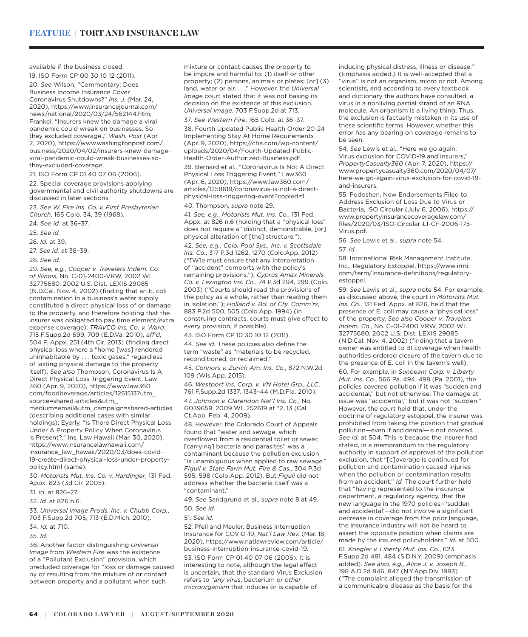<span id="page-8-0"></span>available if the business closed.

[19](#page-2-0). ISO Form CP 00 30 10 12 (2011). [20.](#page-2-0) *See* Wilson, "Commentary: Does Business Income Insurance Cover Coronavirus Shutdowns?" *Ins. J.* (Mar. 24, 2020), [https://www.insurancejournal.com/](https://www.insurancejournal.com/news/national/2020/03/24/562144.htm) [news/national/2020/03/24/562144.htm](https://www.insurancejournal.com/news/national/2020/03/24/562144.htm); Frankel, "Insurers knew the damage a viral pandemic could wreak on businesses. So they excluded coverage.," *Wash. Post* (Apr. 2, 2020), [https://www.washingtonpost.com/](https://www.washingtonpost.com/business/2020/04/02/insurers-knew-damage-viral-pandemic-could-wreak-businesses-so-they-excluded-coverage/) [business/2020/04/02/insurers-knew-damage](https://www.washingtonpost.com/business/2020/04/02/insurers-knew-damage-viral-pandemic-could-wreak-businesses-so-they-excluded-coverage/)[viral-pandemic-could-wreak-businesses-so](https://www.washingtonpost.com/business/2020/04/02/insurers-knew-damage-viral-pandemic-could-wreak-businesses-so-they-excluded-coverage/)[they-excluded-coverage.](https://www.washingtonpost.com/business/2020/04/02/insurers-knew-damage-viral-pandemic-could-wreak-businesses-so-they-excluded-coverage/)

[21](#page-2-0). ISO Form CP 01 40 07 06 (2006).

[22.](#page-2-0) Special coverage provisions applying governmental and civil authority shutdowns are discussed in later sections.

[23](#page-2-0). *See W. Fire Ins. Co. v. First Presbyterian Church*, 165 Colo. 34, 39 (1968).

[24](#page-2-0). *See id.* at 36–37.

[25](#page-2-0). *See id.* 

[26](#page-2-0). *Id.* at 39.

[27](#page-3-0). *See id.* at 38–39.

[28](#page-3-0). *See id.*

[29](#page-3-0). *See, e.g.*, *Cooper v. Travelers Indem. Co. of Illinois*, No. C-01-2400-VRW, 2002 WL 32775680, 2002 U.S. Dist. LEXIS 29085 (N.D.Cal. Nov. 4, 2002) (finding that an E. coli contamination in a business's water supply constituted a direct physical loss of or damage to the property, and therefore holding that the insurer was obligated to pay time element/extra expense coverage); *TRAVCO Ins. Co. v. Ward*, 715 F.Supp.2d 699, 709 (E.D.Va. 2010), *aff'd*, 504 F. Appx. 251 (4th Cir. 2013) (finding direct physical loss where a "home [was] rendered uninhabitable by . . . toxic gases," regardless of lasting physical damage to the property itself). *See also* Thompson, Coronavirus Is A Direct Physical Loss Triggering Event, Law 360 (Apr. 9, 2020), [https://www.law360.](https://www.law360.com/foodbeverage/articles/1261513?utm_source=shared-articles&utm_medium=email&utm_campaign=shared-articles) [com/foodbeverage/articles/1261513?utm\\_](https://www.law360.com/foodbeverage/articles/1261513?utm_source=shared-articles&utm_medium=email&utm_campaign=shared-articles) [source=shared-articles&utm\\_](https://www.law360.com/foodbeverage/articles/1261513?utm_source=shared-articles&utm_medium=email&utm_campaign=shared-articles) [medium=email&utm\\_campaign=shared-articles](https://www.law360.com/foodbeverage/articles/1261513?utm_source=shared-articles&utm_medium=email&utm_campaign=shared-articles)

(describing additional cases with similar holdings); Eyerly, "Is There Direct Physical Loss Under A Property Policy When Coronavirus is Present?," Ins. Law Hawaii (Mar. 30, 2020), [https://www.insurancelawhawaii.com/](https://www.insurancelawhawaii.com/insurance_law_hawaii/2020/03/does-covid-19-create-direct-physical-loss-under-property-policy.html) [insurance\\_law\\_hawaii/2020/03/does-covid-](https://www.insurancelawhawaii.com/insurance_law_hawaii/2020/03/does-covid-19-create-direct-physical-loss-under-property-policy.html)[19-create-direct-physical-loss-under-property](https://www.insurancelawhawaii.com/insurance_law_hawaii/2020/03/does-covid-19-create-direct-physical-loss-under-property-policy.html)[policy.html](https://www.insurancelawhawaii.com/insurance_law_hawaii/2020/03/does-covid-19-create-direct-physical-loss-under-property-policy.html) (same).

[30.](#page-3-0) *Motorists Mut. Ins. Co. v. Hardinger*, 131 Fed. Appx. 823 (3d Cir. 2005).

[31](#page-3-0). *Id.* at 826–27.

[32](#page-3-0). *Id.* at 826 n.6.

[33](#page-3-0). *Universal Image Prods. Inc. v. Chubb Corp.*, 703 F.Supp.2d 705, 713 (E.D.Mich. 2010).

[34.](#page-3-0) *Id.* at 710.

[35](#page-3-0). *Id.*

[36](#page-3-0). Another factor distinguishing *Universal Image* from *Western Fire* was the existence of a "Pollutant Exclusion" provision, which precluded coverage for "loss or damage caused by or resulting from the mixture of or contact between property and a pollutant when such

mixture or contact causes the property to be impure and harmful to: (1) itself or other property; (2) persons, animals or plates; [or] (3) land, water or air. . . ." However, the *Universal Image* court stated that it was not basing its decision on the existence of this exclusion. *Universal Image*, 703 F.Supp.2d at 713.

[37](#page-3-0). *See Western Fire*, 165 Colo. at 36–37.

[38](#page-3-0). Fourth Updated Public Health Order 20-24 Implementing Stay At Home Requirements (Apr. 9, 2020), [https://cha.com/wp-content/](https://cha.com/wp-content/uploads/2020/04/Fourth-Updated-Public-Health-Order-Authorized-Business.pdf) [uploads/2020/04/Fourth-Updated-Public-](https://cha.com/wp-content/uploads/2020/04/Fourth-Updated-Public-Health-Order-Authorized-Business.pdf)[Health-Order-Authorized-Business.pdf.](https://cha.com/wp-content/uploads/2020/04/Fourth-Updated-Public-Health-Order-Authorized-Business.pdf)

[39](#page-3-0). Bernard et al., "Coronavirus Is Not A Direct Physical Loss Triggering Event," Law360 (Apr. 6, 2020), [https://www.law360.com/](https://www.law360.com/articles/1258619/coronavirus-is-not-a-direct-physical-loss-triggering-event?copied=1) [articles/1258619/coronavirus-is-not-a-direct](https://www.law360.com/articles/1258619/coronavirus-is-not-a-direct-physical-loss-triggering-event?copied=1)[physical-loss-triggering-event?copied=1.](https://www.law360.com/articles/1258619/coronavirus-is-not-a-direct-physical-loss-triggering-event?copied=1) [40](#page-3-0). Thompson, *supra* note 29.

[41.](#page-3-0) *See, e.g.*, *Motorists Mut. Ins. Co.*, 131 Fed. Appx. at 826 n.6 (holding that a "physical loss" does not require a "distinct, demonstrable, [or] physical alteration of [the] structure.").

[42.](#page-3-0) *See, e.g.*, *Colo. Pool Sys., Inc. v. Scottsdale Ins. Co.*, 317 P.3d 1262, 1270 (Colo.App. 2012) ("[W]e must ensure that any interpretation of "accident" comports with the policy's remaining provisions."); *Cyprus Amax Minerals Co. v. Lexington Ins. Co.*, 74 P.3d 294, 299 (Colo. 2003) ("Courts should read the provisions of the policy as a whole, rather than reading them in isolation."); *Holland v. Bd. of Cty. Comm'rs*, 883 P.2d 500, 505 (Colo.App. 1994) (in construing contracts, courts must give effect to every provision, if possible).

[43.](#page-4-0) ISO Form CP 10 30 10 12 (2011).

[44](#page-4-0). *See id.* These policies also define the term "waste" as "materials to be recycled, reconditioned, or reclaimed."

[45.](#page-4-0) *Connors v. Zurich Am. Ins. Co.*, 872 N.W.2d 109 (Wis.App. 2015).

[46.](#page-4-0) *Westport Ins. Corp. v. VN Hotel Grp., LLC*, 761 F.Supp.2d 1337, 1343–44 (M.D.Fla. 2010). [47](#page-4-0). *Johnson v. Clarendon Nat'l Ins. Co.*, No. G039659, 2009 WL 252619 at \*2, 13 (Cal. Ct.App. Feb. 4, 2009).

[48.](#page-4-0) However, the Colorado Court of Appeals found that "water and sewage, which overflowed from a residential toilet or sewer, [carrying] bacteria and parasites" was a contaminant because the pollution exclusion "is unambiguous when applied to raw sewage." *Figuli v. State Farm Mut. Fire & Cas.*, 304 P.3d 595, 598 (Colo.App. 2012). But *Figuli* did not address whether the bacteria itself was a "contaminant."

[49.](#page-4-0) *See* Sandgrund et al., *supra* note 8 at 49.

[50.](#page-4-0) *See id.*

[51](#page-4-0). *See id.* 

[52](#page-4-0). Pfeil and Meuler, Business Interruption Insurance for COVID-19, *Nat'l Law Rev.* (Mar. 18, 2020), [https://www.natlawreview.com/article/](https://www.natlawreview.com/article/business-interruption-insurance-covid-19) [business-interruption-insurance-covid-19.](https://www.natlawreview.com/article/business-interruption-insurance-covid-19) [53](#page-4-0). ISO Form CP 01 40 07 06 (2006). It is interesting to note, although the legal effect is uncertain, that the standard Virus Exclusion refers to "*any virus*, bacterium *or other microorganism* that induces or is capable of

inducing physical distress, illness or disease." (Emphasis added.) It is well-accepted that a "virus" is not an organism, micro or not. Among scientists, and according to every textbook and dictionary the authors have consulted, a virus in a nonliving partial strand of an RNA molecule. An organism is a living thing. Thus, the exclusion is factually mistaken in its use of these scientific terms. However, whether this error has any bearing on coverage remains to be seen.

[54.](#page-4-0) *See* Lewis et al., "Here we go again: Virus exclusion for COVID-19 and insurers," *PropertyCasualty360* (Apr. 7, 2020), [https://](https://www.propertycasualty360.com/2020/04/07/here-we-go-again-virus-exclusion-for-covid-19-and-insurers/) [www.propertycasualty360.com/2020/04/07/](https://www.propertycasualty360.com/2020/04/07/here-we-go-again-virus-exclusion-for-covid-19-and-insurers/) [here-we-go-again-virus-exclusion-for-covid-19](https://www.propertycasualty360.com/2020/04/07/here-we-go-again-virus-exclusion-for-covid-19-and-insurers/) [and-insurers](https://www.propertycasualty360.com/2020/04/07/here-we-go-again-virus-exclusion-for-covid-19-and-insurers/).

[55](#page-4-0). Podoshen, New Endorsements Filed to Address Exclusion of Loss Due to Virus or Bacteria, ISO Circular (July 6, 2006), [https://](https://www.propertyinsurancecoveragelaw.com/files/2020/03/ISO-Circular-LI-CF-2006-175-Virus.pdf) [www.propertyinsurancecoveragelaw.com/](https://www.propertyinsurancecoveragelaw.com/files/2020/03/ISO-Circular-LI-CF-2006-175-Virus.pdf) [files/2020/03/ISO-Circular-LI-CF-2006-175-](https://www.propertyinsurancecoveragelaw.com/files/2020/03/ISO-Circular-LI-CF-2006-175-Virus.pdf) [Virus.pdf](https://www.propertyinsurancecoveragelaw.com/files/2020/03/ISO-Circular-LI-CF-2006-175-Virus.pdf).

[56](#page-4-0). *See* Lewis et al., *supra* note 54. [57](#page-4-0). *Id.*

[58](#page-4-0). International Risk Management Institute, Inc., Regulatory Estoppel, [https://www.irmi.](https://www.irmi.com/term/insurance-definitions/regulatory-estoppel) [com/term/insurance-definitions/regulatory](https://www.irmi.com/term/insurance-definitions/regulatory-estoppel)[estoppel](https://www.irmi.com/term/insurance-definitions/regulatory-estoppel).

[59](#page-4-0). *See* Lewis et al., *supra* note 54. For example, as discussed above, the court in *Motorists Mut. Ins. Co.*, 131 Fed. Appx. at 826, held that the presence of E. coli may cause a "physical loss" of the property. *See also Cooper v. Travelers Indem. Co.*, No. C-01-2400 VRW, 2002 WL 32775680, 2002 U.S. Dist. LEXIS 29085 (N.D.Cal. Nov. 4, 2002) (finding that a tavern owner was entitled to BI coverage when health authorities ordered closure of the tavern due to the presence of E. coli in the tavern's well).

[60](#page-4-0). For example, in *Sunbeam Corp. v. Liberty Mut. Ins. Co.*, 566 Pa. 494, 498 (Pa. 2001), the policies covered pollution if it was "sudden and accidental," but not otherwise. The damage at issue was "accidental," but it was not "sudden." However, the court held that, under the doctrine of regulatory estoppel, the insurer was prohibited from taking the position that gradual pollution—even if accidental—is not covered. *See id.* at 504. This is because the insurer had stated, in a memorandum to the regulatory authority in support of approval of the pollution exclusion, that "[c]overage is continued for pollution and contamination caused injuries when the pollution or contamination results from an accident." *Id.* The court further held that "having represented to the insurance department, a regulatory agency, that the new language in the 1970 policies—'sudden and accidental'—did not involve a significant decrease in coverage from the prior language, the insurance industry will not be heard to assert the opposite position when claims are made by the insured policyholders." *Id.* at 500.

[61](#page-5-0). *Koegler v. Liberty Mut. Ins. Co.*, 623 F.Supp.2d 481, 484 (S.D.N.Y. 2009) (emphasis added). *See also, e.g.*, *Alice J. v. Joseph B.*, 198 A.D.2d 846, 847 (N.Y.App.Div. 1993) ("The complaint alleged the transmission of a communicable disease as the basis for the